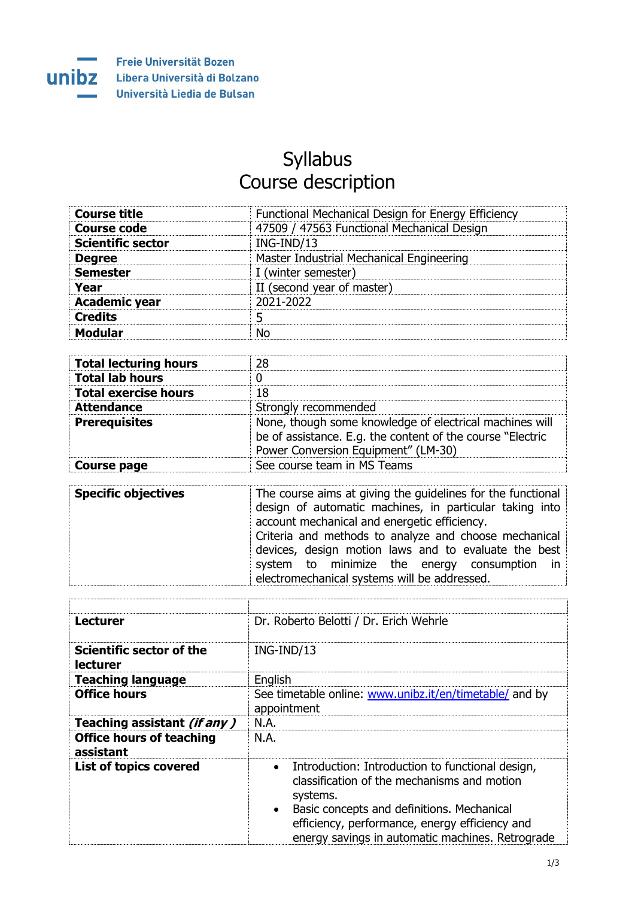

## Syllabus Course description

| <b>Course title</b>      | Functional Mechanical Design for Energy Efficiency |
|--------------------------|----------------------------------------------------|
| <b>Course code</b>       | 47509 / 47563 Functional Mechanical Design         |
| <b>Scientific sector</b> | ING-IND/13                                         |
| <b>Degree</b>            | Master Industrial Mechanical Engineering           |
| <b>Semester</b>          | I (winter semester)                                |
| Year                     | II (second year of master)                         |
| <b>Academic year</b>     | 2021-2022                                          |
| <b>Credits</b>           |                                                    |
| <b>Modular</b>           | N٥                                                 |

| <b>Total lecturing hours</b> | 28                                                                                                                                                           |
|------------------------------|--------------------------------------------------------------------------------------------------------------------------------------------------------------|
| <b>Total lab hours</b>       |                                                                                                                                                              |
| <b>Total exercise hours</b>  | 18                                                                                                                                                           |
| <b>Attendance</b>            | Strongly recommended                                                                                                                                         |
| <b>Prerequisites</b>         | None, though some knowledge of electrical machines will<br>be of assistance. E.g. the content of the course "Electric<br>Power Conversion Equipment" (LM-30) |
| <b>Course page</b>           | See course team in MS Teams                                                                                                                                  |

| <b>Specific objectives</b> | The course aims at giving the guidelines for the functional<br>design of automatic machines, in particular taking into |  |  |
|----------------------------|------------------------------------------------------------------------------------------------------------------------|--|--|
|                            | account mechanical and energetic efficiency.                                                                           |  |  |
|                            | Criteria and methods to analyze and choose mechanical                                                                  |  |  |
|                            | devices, design motion laws and to evaluate the best                                                                   |  |  |
|                            | system to minimize the energy consumption in                                                                           |  |  |
|                            | electromechanical systems will be addressed.                                                                           |  |  |

| <b>Lecturer</b>                              | Dr. Roberto Belotti / Dr. Erich Wehrle                                                                                                                                                                                                                                                    |  |  |
|----------------------------------------------|-------------------------------------------------------------------------------------------------------------------------------------------------------------------------------------------------------------------------------------------------------------------------------------------|--|--|
| Scientific sector of the<br><b>lecturer</b>  | ING-IND/13                                                                                                                                                                                                                                                                                |  |  |
| <b>Teaching language</b>                     | English                                                                                                                                                                                                                                                                                   |  |  |
| <b>Office hours</b>                          | See timetable online: www.unibz.it/en/timetable/ and by<br>appointment                                                                                                                                                                                                                    |  |  |
| Teaching assistant (if any)                  | N.A.                                                                                                                                                                                                                                                                                      |  |  |
| <b>Office hours of teaching</b><br>assistant | N.A.                                                                                                                                                                                                                                                                                      |  |  |
| <b>List of topics covered</b>                | Introduction: Introduction to functional design,<br>$\bullet$<br>classification of the mechanisms and motion<br>systems.<br>Basic concepts and definitions. Mechanical<br>$\bullet$<br>efficiency, performance, energy efficiency and<br>energy savings in automatic machines. Retrograde |  |  |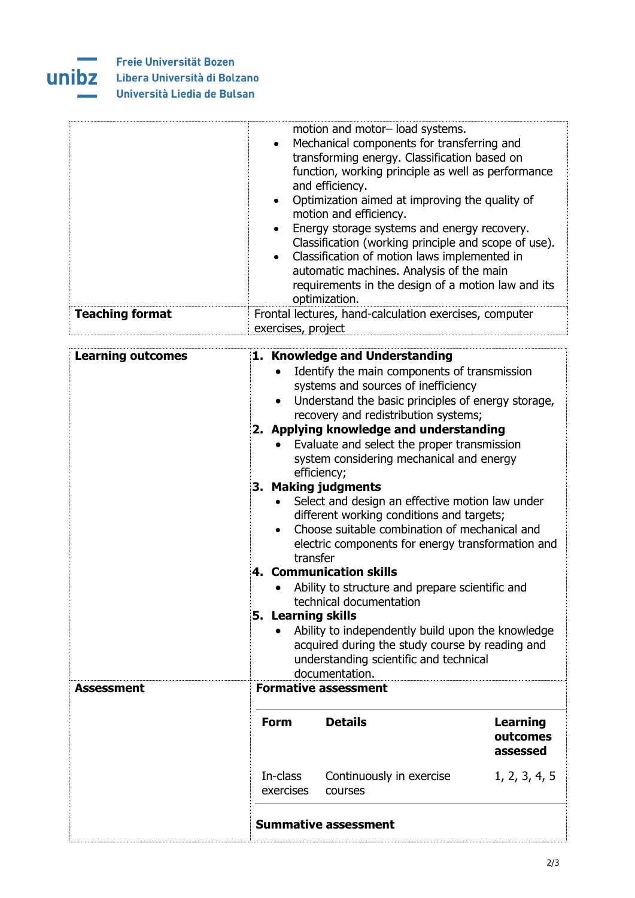

Freie Universität Bozen **UNIDZ** Libera Università di Bolzano Università Liedia de Bulsan

|                        | motion and motor- load systems.<br>• Mechanical components for transferring and<br>transforming energy. Classification based on<br>function, working principle as well as performance<br>and efficiency.<br>• Optimization aimed at improving the quality of<br>motion and efficiency.<br>• Energy storage systems and energy recovery.<br>Classification (working principle and scope of use).<br>• Classification of motion laws implemented in<br>automatic machines. Analysis of the main<br>requirements in the design of a motion law and its<br>optimization. |
|------------------------|----------------------------------------------------------------------------------------------------------------------------------------------------------------------------------------------------------------------------------------------------------------------------------------------------------------------------------------------------------------------------------------------------------------------------------------------------------------------------------------------------------------------------------------------------------------------|
| <b>Teaching format</b> | Frontal lectures, hand-calculation exercises, computer<br>exercises, project                                                                                                                                                                                                                                                                                                                                                                                                                                                                                         |

| <b>Learning outcomes</b> |                                                                                                                 | 1. Knowledge and Understanding                                                      |                 |  |  |
|--------------------------|-----------------------------------------------------------------------------------------------------------------|-------------------------------------------------------------------------------------|-----------------|--|--|
|                          |                                                                                                                 | Identify the main components of transmission<br>systems and sources of inefficiency |                 |  |  |
|                          | $\bullet$                                                                                                       | Understand the basic principles of energy storage,                                  |                 |  |  |
|                          |                                                                                                                 | recovery and redistribution systems;                                                |                 |  |  |
|                          | 2. Applying knowledge and understanding                                                                         |                                                                                     |                 |  |  |
|                          |                                                                                                                 | Evaluate and select the proper transmission                                         |                 |  |  |
|                          |                                                                                                                 | system considering mechanical and energy<br>efficiency;                             |                 |  |  |
|                          | 3. Making judgments                                                                                             |                                                                                     |                 |  |  |
|                          | Select and design an effective motion law under                                                                 |                                                                                     |                 |  |  |
|                          | different working conditions and targets;                                                                       |                                                                                     |                 |  |  |
|                          | Choose suitable combination of mechanical and<br>$\bullet$<br>electric components for energy transformation and |                                                                                     |                 |  |  |
|                          | transfer                                                                                                        |                                                                                     |                 |  |  |
|                          | 4. Communication skills                                                                                         |                                                                                     |                 |  |  |
|                          |                                                                                                                 | Ability to structure and prepare scientific and                                     |                 |  |  |
|                          | technical documentation                                                                                         |                                                                                     |                 |  |  |
|                          | 5. Learning skills                                                                                              |                                                                                     |                 |  |  |
|                          | Ability to independently build upon the knowledge<br>acquired during the study course by reading and            |                                                                                     |                 |  |  |
|                          | understanding scientific and technical                                                                          |                                                                                     |                 |  |  |
|                          |                                                                                                                 | documentation.                                                                      |                 |  |  |
| <b>Assessment</b>        |                                                                                                                 | <b>Formative assessment</b>                                                         |                 |  |  |
|                          | <b>Form</b>                                                                                                     | <b>Details</b>                                                                      | <b>Learning</b> |  |  |
|                          |                                                                                                                 |                                                                                     | outcomes        |  |  |
|                          |                                                                                                                 |                                                                                     | assessed        |  |  |
|                          | In-class                                                                                                        | Continuously in exercise                                                            | 1, 2, 3, 4, 5   |  |  |
|                          | exercises                                                                                                       | courses                                                                             |                 |  |  |
|                          |                                                                                                                 |                                                                                     |                 |  |  |
|                          |                                                                                                                 | <b>Summative assessment</b>                                                         |                 |  |  |